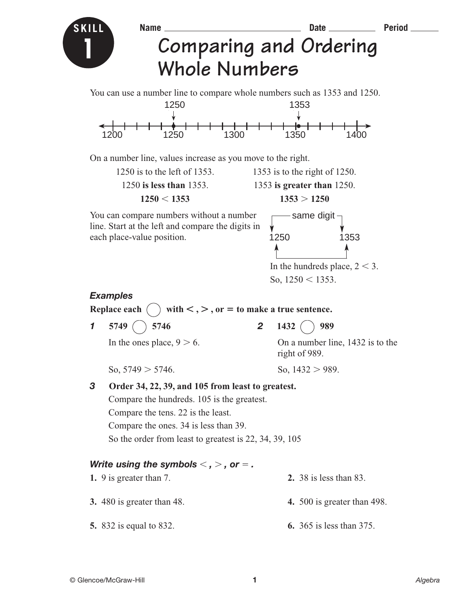

# **Name Date Period Comparing and Ordering Whole Numbers**

You can use a number line to compare whole numbers such as 1353 and 1250.



On a number line, values increase as you move to the right.

1250 is to the left of 1353. 1353 is to the right of 1250. 1250 **is less than** 1353. 1353 **is greater than** 1250.

 $1250 < 1353$ 

 $1353 > 1250$ 

You can compare numbers without a number line. Start at the left and compare the digits in each place-value position.



In the hundreds place,  $2 < 3$ . So,  $1250 < 1353$ .

#### *Examples*

**Replace each** (  $\lt$ ,  $>$ ,  $\text{or} =$  to make a true sentence.

**1 5749** ( ) **5746 2 1432** ( ) **989** 

In the ones place,  $9 > 6$ . On a number line, 1432 is to the right of 989.

So,  $5749 > 5746$ . So,  $1432 > 989$ .

## *3* **Order 34, 22, 39, and 105 from least to greatest.** Compare the hundreds. 105 is the greatest. Compare the tens. 22 is the least.

Compare the ones. 34 is less than 39.

So the order from least to greatest is 22, 34, 39, 105

### Write using the symbols  $<$  ,  $>$  , or  $=$  .

| 1. 9 is greater than 7.        | <b>2.</b> 38 is less than 83.      |
|--------------------------------|------------------------------------|
| 3. 480 is greater than 48.     | <b>4.</b> 500 is greater than 498. |
| <b>5.</b> 832 is equal to 832. | <b>6.</b> 365 is less than 375.    |